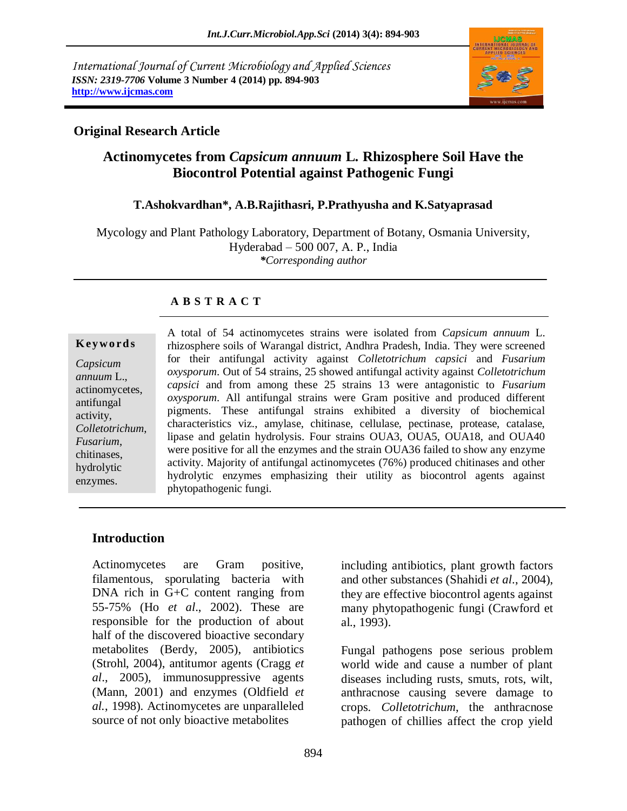*International Journal of Current Microbiology and Applied Sciences ISSN: 2319-7706* **Volume 3 Number 4 (2014) pp. 894-903 http://www.ijcmas.com**



# **Original Research Article**

# **Actinomycetes from** *Capsicum annuum* **L***.* **Rhizosphere Soil Have the Biocontrol Potential against Pathogenic Fungi**

## **T.Ashokvardhan\*, A.B.Rajithasri, P.Prathyusha and K.Satyaprasad**

Mycology and Plant Pathology Laboratory, Department of Botany, Osmania University, Hyderabad – 500 007, A. P., India *\*Corresponding author*

# **A B S T R A C T**

#### **K ey w o rd s**

*Capsicum annuum* L., actinomycetes, antifungal activity, *Colletotrichum*, *Fusarium*, chitinases, hydrolytic enzymes.

A total of 54 actinomycetes strains were isolated from *Capsicum annuum* L. rhizosphere soils of Warangal district, Andhra Pradesh, India. They were screened for their antifungal activity against *Colletotrichum capsici* and *Fusarium oxysporum*. Out of 54 strains, 25 showed antifungal activity against *Colletotrichum capsici* and from among these 25 strains 13 were antagonistic to *Fusarium oxysporum*. All antifungal strains were Gram positive and produced different pigments. These antifungal strains exhibited a diversity of biochemical characteristics viz., amylase, chitinase, cellulase, pectinase, protease, catalase, lipase and gelatin hydrolysis. Four strains OUA3, OUA5, OUA18, and OUA40 were positive for all the enzymes and the strain OUA36 failed to show any enzyme activity. Majority of antifungal actinomycetes (76%) produced chitinases and other hydrolytic enzymes emphasizing their utility as biocontrol agents against phytopathogenic fungi.

# **Introduction**

Actinomycetes are Gram positive, filamentous, sporulating bacteria with DNA rich in G+C content ranging from 55-75% (Ho *et al*., 2002). These are responsible for the production of about half of the discovered bioactive secondary metabolites (Berdy, 2005), antibiotics (Strohl, 2004), antitumor agents (Cragg *et al*., 2005), immunosuppressive agents [\(Mann,](http://pubs.rsc.org/en/results?searchtext=Author%3AJohn%20Mann) 2001) and enzymes (Oldfield *et al.*, 1998). Actinomycetes are unparalleled source of not only bioactive metabolites

including antibiotics, plant growth factors and other substances (Shahidi *et al*., 2004), they are effective biocontrol agents against many phytopathogenic fungi [\(Crawford](http://www.ncbi.nlm.nih.gov/pubmed/?term=Crawford%20DL%5Bauth%5D) et al., 1993).

Fungal pathogens pose serious problem world wide and cause a number of plant diseases including rusts, smuts, rots, wilt, anthracnose causing severe damage to crops. *Colletotrichum*, the anthracnose pathogen of chillies affect the crop yield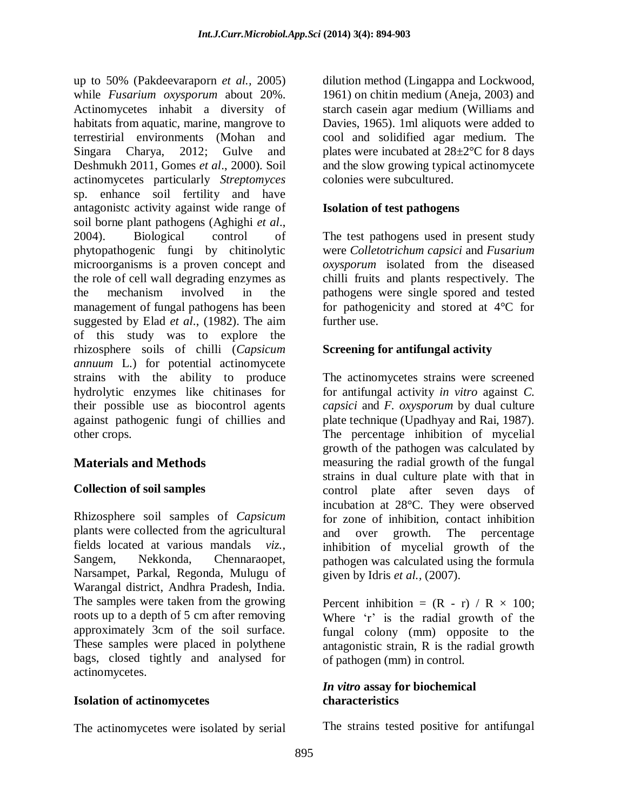up to 50% (Pakdeevaraporn *et al.,* 2005) while *Fusarium oxysporum* about 20%. Actinomycetes inhabit a diversity of habitats from aquatic, marine, mangrove to terrestirial environments (Mohan and Singara Charya, 2012; Gulve and Deshmukh 2011, Gomes *et al*., 2000). Soil actinomycetes particularly *Streptomyces*  sp. enhance soil fertility and have antagonistc activity against wide range of soil borne plant pathogens (Aghighi *et al*., 2004). Biological control of phytopathogenic fungi by chitinolytic microorganisms is a proven concept and the role of cell wall degrading enzymes as the mechanism involved in the management of fungal pathogens has been suggested by Elad *et al*., (1982). The aim of this study was to explore the rhizosphere soils of chilli (*Capsicum annuum* L.) for potential actinomycete strains with the ability to produce hydrolytic enzymes like chitinases for their possible use as biocontrol agents against pathogenic fungi of chillies and other crops.

# **Materials and Methods**

## **Collection of soil samples**

Rhizosphere soil samples of *Capsicum* plants were collected from the agricultural fields located at various mandals *viz.*, Sangem, Nekkonda, Chennaraopet, Narsampet, Parkal, Regonda, Mulugu of Warangal district, Andhra Pradesh, India. The samples were taken from the growing roots up to a depth of 5 cm after removing approximately 3cm of the soil surface. These samples were placed in polythene bags, closed tightly and analysed for actinomycetes.

## **Isolation of actinomycetes**

The actinomycetes were isolated by serial

dilution method (Lingappa and Lockwood, 1961) on chitin medium (Aneja, 2003) and starch casein agar medium (Williams and Davies, 1965). 1ml aliquots were added to cool and solidified agar medium. The plates were incubated at 28±2°C for 8 days and the slow growing typical actinomycete colonies were subcultured.

## **Isolation of test pathogens**

The test pathogens used in present study were *Colletotrichum capsici* and *Fusarium oxysporum* isolated from the diseased chilli fruits and plants respectively. The pathogens were single spored and tested for pathogenicity and stored at 4°C for further use.

# **Screening for antifungal activity**

The actinomycetes strains were screened for antifungal activity *in vitro* against *C. capsici* and *F. oxysporum* by dual culture plate technique (Upadhyay and Rai, 1987). The percentage inhibition of mycelial growth of the pathogen was calculated by measuring the radial growth of the fungal strains in dual culture plate with that in control plate after seven days of incubation at 28°C. They were observed for zone of inhibition, contact inhibition and over growth. The percentage inhibition of mycelial growth of the pathogen was calculated using the formula given by Idris *et al.,* (2007).

Percent inhibition =  $(R - r) / R \times 100$ ; Where 'r' is the radial growth of the fungal colony (mm) opposite to the antagonistic strain, R is the radial growth of pathogen (mm) in control.

## *In vitro* **assay for biochemical characteristics**

The strains tested positive for antifungal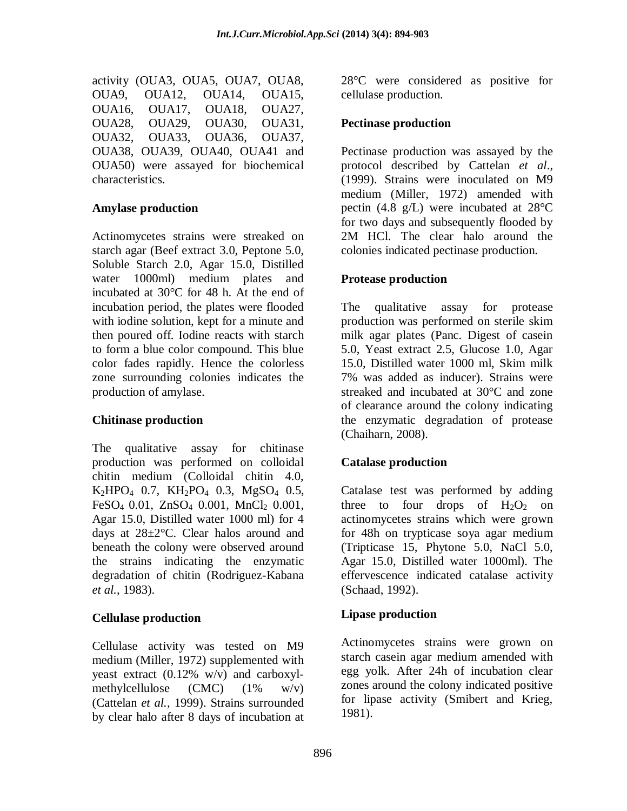activity (OUA3, OUA5, OUA7, OUA8, OUA9, OUA12, OUA14, OUA15, OUA16, OUA17, OUA18, OUA27, OUA28, OUA29, OUA30, OUA31, OUA32, OUA33, OUA36, OUA37, OUA38, OUA39, OUA40, OUA41 and OUA50) were assayed for biochemical characteristics.

#### **Amylase production**

Actinomycetes strains were streaked on starch agar (Beef extract 3.0, Peptone 5.0, Soluble Starch 2.0, Agar 15.0, Distilled water 1000ml) medium plates and incubated at 30°C for 48 h. At the end of incubation period, the plates were flooded with iodine solution, kept for a minute and then poured off. Iodine reacts with starch to form a blue color compound. This blue color fades rapidly. Hence the colorless zone surrounding colonies indicates the production of amylase.

#### **Chitinase production**

The qualitative assay for chitinase production was performed on colloidal chitin medium (Colloidal chitin 4.0,  $K_2HPO_4$  0.7,  $KH_2PO_4$  0.3,  $MgSO_4$  0.5,  $FeSO<sub>4</sub> 0.01$ ,  $ZnSO<sub>4</sub> 0.001$ ,  $MnCl<sub>2</sub> 0.001$ , Agar 15.0, Distilled water 1000 ml) for 4 days at 28±2°C. Clear halos around and beneath the colony were observed around the strains indicating the enzymatic degradation of chitin (Rodriguez-Kabana *et al.*, 1983).

## **Cellulase production**

Cellulase activity was tested on M9 medium (Miller, 1972) supplemented with yeast extract (0.12% w/v) and carboxylmethylcellulose  $(CMC)$   $(1\%$   $w/v)$ (Cattelan *et al.,* 1999). Strains surrounded by clear halo after 8 days of incubation at

28°C were considered as positive for cellulase production.

### **Pectinase production**

Pectinase production was assayed by the protocol described by Cattelan *et al*., (1999). Strains were inoculated on M9 medium (Miller, 1972) amended with pectin (4.8 g/L) were incubated at 28°C for two days and subsequently flooded by 2M HCl. The clear halo around the colonies indicated pectinase production.

## **Protease production**

The qualitative assay for protease production was performed on sterile skim milk agar plates (Panc. Digest of casein 5.0, Yeast extract 2.5, Glucose 1.0, Agar 15.0, Distilled water 1000 ml, Skim milk 7% was added as inducer). Strains were streaked and incubated at 30°C and zone of clearance around the colony indicating the enzymatic degradation of protease (Chaiharn, 2008).

## **Catalase production**

Catalase test was performed by adding three to four drops of  $H_2O_2$  on actinomycetes strains which were grown for 48h on trypticase soya agar medium (Tripticase 15, Phytone 5.0, NaCl 5.0, Agar 15.0, Distilled water 1000ml). The effervescence indicated catalase activity (Schaad, 1992).

## **Lipase production**

Actinomycetes strains were grown on starch casein agar medium amended with egg yolk. After 24h of incubation clear zones around the colony indicated positive for lipase activity (Smibert and Krieg, 1981).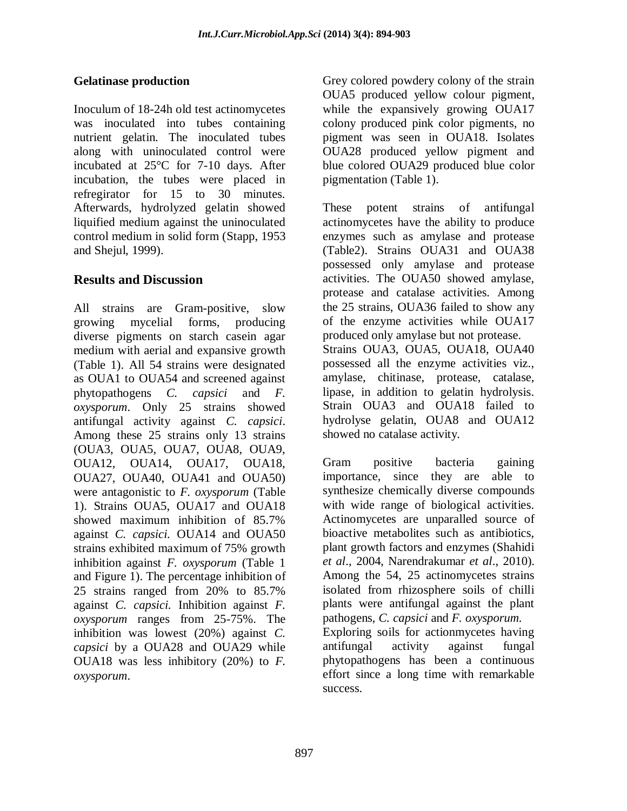# **Gelatinase production**

Inoculum of 18-24h old test actinomycetes was inoculated into tubes containing nutrient gelatin. The inoculated tubes along with uninoculated control were incubated at 25°C for 7-10 days. After incubation, the tubes were placed in refregirator for 15 to 30 minutes. Afterwards, hydrolyzed gelatin showed liquified medium against the uninoculated control medium in solid form (Stapp, 1953 and Shejul, 1999).

# **Results and Discussion**

All strains are Gram-positive, slow growing mycelial forms, producing diverse pigments on starch casein agar medium with aerial and expansive growth (Table 1). All 54 strains were designated as OUA1 to OUA54 and screened against phytopathogens *C. capsici* and *F. oxysporum*. Only 25 strains showed antifungal activity against *C. capsici*. Among these 25 strains only 13 strains (OUA3, OUA5, OUA7, OUA8, OUA9, OUA12, OUA14, OUA17, OUA18, OUA27, OUA40, OUA41 and OUA50) were antagonistic to *F. oxysporum* (Table 1). Strains OUA5, OUA17 and OUA18 showed maximum inhibition of 85.7% against *C. capsici.* OUA14 and OUA50 strains exhibited maximum of 75% growth inhibition against *F. oxysporum* (Table 1 and Figure 1). The percentage inhibition of 25 strains ranged from 20% to 85.7% against *C. capsici.* Inhibition against *F. oxysporum* ranges from 25-75%. The inhibition was lowest (20%) against *C. capsici* by a OUA28 and OUA29 while OUA18 was less inhibitory (20%) to *F. oxysporum*.

Grey colored powdery colony of the strain OUA5 produced yellow colour pigment, while the expansively growing OUA17 colony produced pink color pigments, no pigment was seen in OUA18. Isolates OUA28 produced yellow pigment and blue colored OUA29 produced blue color pigmentation (Table 1).

These potent strains of antifungal actinomycetes have the ability to produce enzymes such as amylase and protease (Table2). Strains OUA31 and OUA38 possessed only amylase and protease activities. The OUA50 showed amylase, protease and catalase activities. Among the 25 strains, OUA36 failed to show any of the enzyme activities while OUA17 produced only amylase but not protease. Strains OUA3, OUA5, OUA18, OUA40 possessed all the enzyme activities viz., amylase, chitinase, protease, catalase, lipase, in addition to gelatin hydrolysis. Strain OUA3 and OUA18 failed to hydrolyse gelatin, OUA8 and OUA12 showed no catalase activity.

Gram positive bacteria gaining importance, since they are able to synthesize chemically diverse compounds with wide range of biological activities. Actinomycetes are unparalled source of bioactive metabolites such as antibiotics, plant growth factors and enzymes (Shahidi *et al*., 2004, Narendrakumar *et al*., 2010). Among the 54, 25 actinomycetes strains isolated from rhizosphere soils of chilli plants were antifungal against the plant pathogens, *C. capsici* and *F. oxysporum.*

Exploring soils for actionmycetes having antifungal activity against fungal phytopathogens has been a continuous effort since a long time with remarkable success.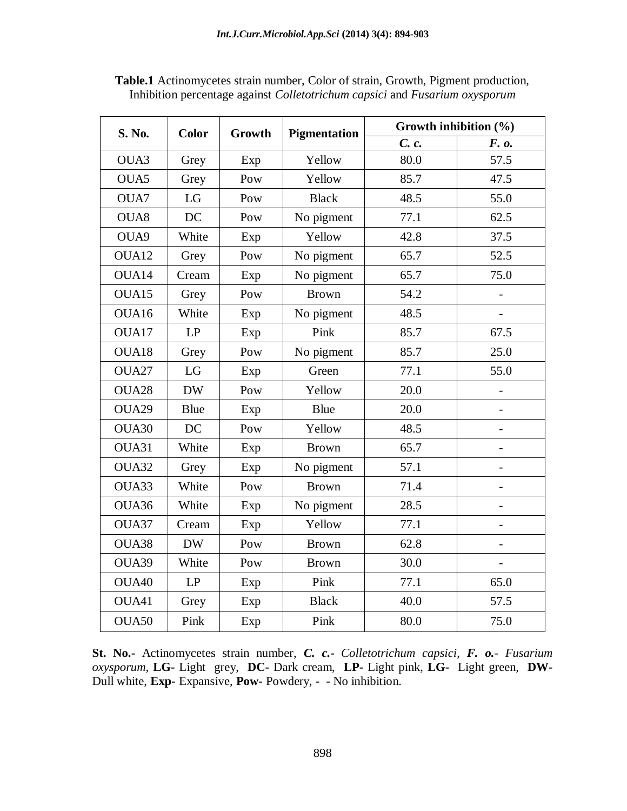| S. No.            | <b>Color</b> | Growth | <b>Pigmentation</b> | Growth inhibition (%) |                          |  |
|-------------------|--------------|--------|---------------------|-----------------------|--------------------------|--|
|                   |              |        |                     | C. c.                 | F. o.                    |  |
| OUA3              | Grey         | Exp    | Yellow              | 80.0                  | 57.5                     |  |
| OUA5              | Grey         | Pow    | Yellow              | 85.7                  | 47.5                     |  |
| OUA7              | LG           | Pow    | <b>Black</b>        | 48.5                  | 55.0                     |  |
| OUA8              | DC           | Pow    | No pigment          | 77.1                  | 62.5                     |  |
| OUA9              | White        | Exp    | Yellow              | 42.8                  | 37.5                     |  |
| OUA12             | Grey         | Pow    | No pigment          | 65.7                  | 52.5                     |  |
| OUA14             | Cream        | Exp    | No pigment          | 65.7                  | 75.0                     |  |
| OUA15             | Grey         | Pow    | <b>Brown</b>        | 54.2                  |                          |  |
| OUA16             | White        | Exp    | No pigment          | 48.5                  | $\overline{a}$           |  |
| OUA17             | LP           | Exp    | Pink                | 85.7                  | 67.5                     |  |
| OUA18             | Grey         | Pow    | No pigment          | 85.7                  | 25.0                     |  |
| OUA27             | LG           | Exp    | Green               | 77.1                  | 55.0                     |  |
| OUA <sub>28</sub> | <b>DW</b>    | Pow    | Yellow              | 20.0                  | $\overline{a}$           |  |
| OUA29             | <b>Blue</b>  | Exp    | Blue                | 20.0                  | $\overline{\phantom{a}}$ |  |
| OUA30             | <b>DC</b>    | Pow    | Yellow              | 48.5                  |                          |  |
| OUA31             | White        | Exp    | <b>Brown</b>        | 65.7                  | $\overline{\phantom{0}}$ |  |
| OUA32             | Grey         | Exp    | No pigment          | 57.1                  |                          |  |
| OUA33             | White        | Pow    | <b>Brown</b>        | 71.4                  | $\overline{\phantom{0}}$ |  |
| OUA36             | White        | Exp    | No pigment          | 28.5                  | $\blacksquare$           |  |
| OUA37             | Cream        | Exp    | Yellow              | 77.1                  |                          |  |
| OUA38             | <b>DW</b>    | Pow    | <b>Brown</b>        | 62.8                  | $\overline{\phantom{0}}$ |  |
| OUA39             | White        | Pow    | <b>Brown</b>        | 30.0                  | $\overline{a}$           |  |
| OUA40             | LP           | Exp    | Pink                | 77.1                  | 65.0                     |  |
| OUA41             | Grey         | Exp    | <b>Black</b>        | 40.0                  | 57.5                     |  |
| OUA50             | Pink         | Exp    | Pink                | 80.0                  | 75.0                     |  |

**Table.1** Actinomycetes strain number, Color of strain, Growth, Pigment production, Inhibition percentage against *Colletotrichum capsici* and *Fusarium oxysporum*

**St. No.-** Actinomycetes strain number, *C. c.***-** *Colletotrichum capsici*, *F. o.- Fusarium oxysporum*, **LG-** Light grey, **DC-** Dark cream, **LP-** Light pink, **LG-** Light green, **DW-**Dull white, **Exp-** Expansive, **Pow-** Powdery, **- -** No inhibition.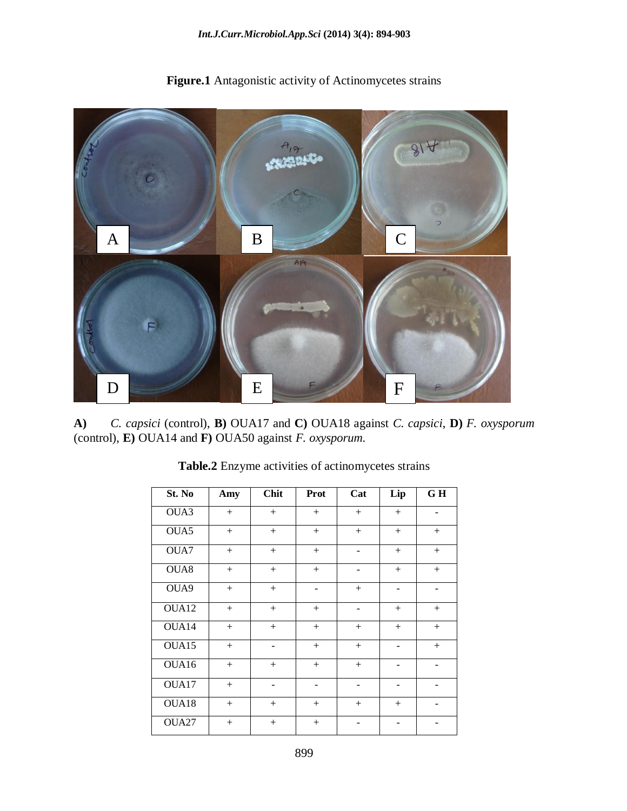

**Figure.1** Antagonistic activity of Actinomycetes strains

**A)** *C. capsici* (control), **B)** OUA17 and **C)** OUA18 against *C. capsici*, **D)** *F. oxysporum*  (control), **E)** OUA14 and **F)** OUA50 against *F. oxysporum.*

| St. No | Amy    | <b>Chit</b>              | <b>Prot</b>                  | Cat                          | Lip                          | GH                       |
|--------|--------|--------------------------|------------------------------|------------------------------|------------------------------|--------------------------|
| OUA3   | $^{+}$ | $^{+}$                   | $^{+}$                       | $^{+}$                       | $+$                          |                          |
| OUA5   | $^{+}$ | $^{+}$                   | $^{+}$                       | $^{+}$                       | $^{+}$                       | $^{+}$                   |
| OUA7   | $^{+}$ | $+$                      | $^{+}$                       | $\overline{\phantom{0}}$     | $^{+}$                       | $^{+}$                   |
| OUA8   | $^{+}$ | $^{+}$                   | $^{+}$                       | -                            | $^{+}$                       | $^{+}$                   |
| OUA9   | $^{+}$ | $^{+}$                   | $\overline{\phantom{a}}$     | $^{+}$                       | $\overline{\phantom{a}}$     | $\overline{\phantom{a}}$ |
| OUA12  | $^{+}$ | $^{+}$                   | $^{+}$                       | $\qquad \qquad \blacksquare$ | $+$                          | $\! + \!\!\!\!$          |
| OUA14  | $+$    | $^{+}$                   | $^{+}$                       | $^{+}$                       | $^{+}$                       | $^{+}$                   |
| OUA15  | $^{+}$ | -                        | $^{+}$                       | $^{+}$                       | $\overline{\phantom{a}}$     | $^{+}$                   |
| OUA16  | $^{+}$ | $^{+}$                   | $^{+}$                       | $^{+}$                       | -                            | -                        |
| OUA17  | $^{+}$ | $\overline{\phantom{a}}$ | $\qquad \qquad \blacksquare$ | $\overline{\phantom{a}}$     | $\qquad \qquad \blacksquare$ |                          |
| OUA18  | $^{+}$ | $^{+}$                   | $^{+}$                       | $+$                          | $^{+}$                       |                          |
| OUA27  | $^{+}$ | $^{+}$                   | $^{+}$                       |                              |                              |                          |

**Table.2** Enzyme activities of actinomycetes strains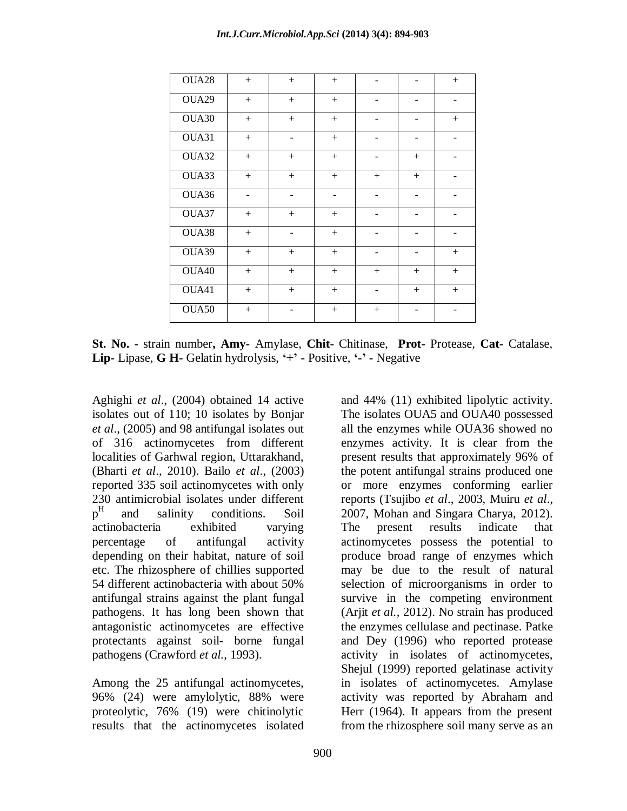| OUA <sub>28</sub> | $+$    | $^{+}$                       | $+$               |        |                              | $+$    |
|-------------------|--------|------------------------------|-------------------|--------|------------------------------|--------|
| OUA29             | $^{+}$ | $^{+}$                       | $+$               | -      | -                            | -      |
| OUA30             | $^{+}$ | $^{+}$                       | $^{+}$            |        |                              | $^{+}$ |
| OUA31             | $^{+}$ | -                            | $^{+}$            |        | -                            |        |
| OUA32             | $^{+}$ | $^{+}$                       | $^{+}$            |        | $+$                          |        |
| OUA33             | $+$    | $+$                          | $+$               | $+$    | $+$                          |        |
| OUA36             | -      |                              | $\qquad \qquad -$ | ۰      | $\overline{\phantom{a}}$     |        |
| OUA37             | $^{+}$ | $^{+}$                       | $^{+}$            | -      | -                            |        |
| OUA38             | $^{+}$ | $\qquad \qquad \blacksquare$ | $^{+}$            |        | -                            |        |
| OUA39             | $^{+}$ | $+$                          | $^{+}$            | -      | $\qquad \qquad \blacksquare$ | $^{+}$ |
| OUA40             | $^{+}$ | $^{+}$                       | $^{+}$            | $+$    | $+$                          | $^{+}$ |
| OUA41             | $^{+}$ | $^{+}$                       | $^{+}$            |        | $^{+}$                       | $^{+}$ |
| OUA50             | $^{+}$ |                              | $^{+}$            | $^{+}$ |                              |        |

**St. No. -** strain number**, Amy-** Amylase, **Chit-** Chitinase, **Prot-** Protease, **Cat-** Catalase, **Lip-** Lipase, **G H-** Gelatin hydrolysis, **'+' -** Positive, **'-' -** Negative

Aghighi *et al*., (2004) obtained 14 active isolates out of 110; 10 isolates by Bonjar *et al*., (2005) and 98 antifungal isolates out of 316 actinomycetes from different localities of Garhwal region, Uttarakhand, (Bharti *et al*., 2010). Bailo *et al*., (2003) reported 335 soil actinomycetes with only 230 antimicrobial isolates under different  $p^H$ and salinity conditions. Soil actinobacteria exhibited varying percentage of antifungal activity depending on their habitat, nature of soil etc. The rhizosphere of chillies supported 54 different actinobacteria with about 50% antifungal strains against the plant fungal pathogens. It has long been shown that antagonistic actinomycetes are effective protectants against soil- borne fungal pathogens (Crawford *et al.*, 1993).

Among the 25 antifungal actinomycetes, 96% (24) were amylolytic, 88% were proteolytic, 76% (19) were chitinolytic results that the actinomycetes isolated from the rhizosphere soil many serve as an

and 44% (11) exhibited lipolytic activity. The isolates OUA5 and OUA40 possessed all the enzymes while OUA36 showed no enzymes activity. It is clear from the present results that approximately 96% of the potent antifungal strains produced one or more enzymes conforming earlier reports (Tsujibo *et al*., 2003, Muiru *et al*., 2007, Mohan and Singara Charya, 2012). The present results indicate that actinomycetes possess the potential to produce broad range of enzymes which may be due to the result of natural selection of microorganisms in order to survive in the competing environment (Arjit *et al.,* 2012). No strain has produced the enzymes cellulase and pectinase. Patke and Dey (1996) who reported protease activity in isolates of actinomycetes, Shejul (1999) reported gelatinase activity in isolates of actinomycetes. Amylase activity was reported by Abraham and Herr (1964). It appears from the present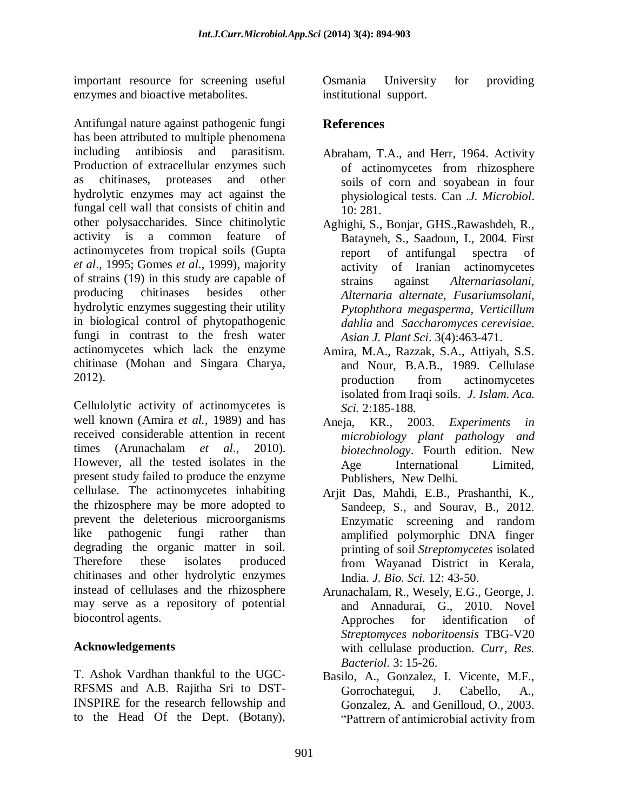important resource for screening useful enzymes and bioactive metabolites.

Antifungal nature against pathogenic fungi has been attributed to multiple phenomena including antibiosis and parasitism. Production of extracellular enzymes such as chitinases, proteases and other hydrolytic enzymes may act against the fungal cell wall that consists of chitin and other polysaccharides. Since chitinolytic activity is a common feature of actinomycetes from tropical soils (Gupta *et al*., 1995; Gomes *et al*., 1999), majority of strains (19) in this study are capable of producing chitinases besides other hydrolytic enzymes suggesting their utility in biological control of phytopathogenic fungi in contrast to the fresh water actinomycetes which lack the enzyme chitinase (Mohan and Singara Charya, 2012).

Cellulolytic activity of actinomycetes is well known (Amira *et al.*, 1989) and has received considerable attention in recent times (Arunachalam *et al*., 2010). However, all the tested isolates in the present study failed to produce the enzyme cellulase. The actinomycetes inhabiting the rhizosphere may be more adopted to prevent the deleterious microorganisms like pathogenic fungi rather than degrading the organic matter in soil. Therefore these isolates produced chitinases and other hydrolytic enzymes instead of cellulases and the rhizosphere may serve as a repository of potential biocontrol agents.

# **Acknowledgements**

T. Ashok Vardhan thankful to the UGC-RFSMS and A.B. Rajitha Sri to DST-INSPIRE for the research fellowship and to the Head Of the Dept. (Botany),

Osmania University for providing institutional support.

# **References**

- Abraham, T.A., and Herr, 1964. Activity of actinomycetes from rhizosphere soils of corn and soyabean in four physiological tests. Can .*J. Microbiol*. 10: 281.
- Aghighi, S., Bonjar, GHS.,Rawashdeh, R., Batayneh, S., Saadoun, I., 2004. First report of antifungal spectra of activity of Iranian actinomycetes strains against *Alternariasolani, Alternaria alternate, Fusariumsolani, Pytophthora megasperma, Verticillum dahlia* and *Saccharomyces cerevisiae*. *Asian J. Plant Sci*. 3(4):463-471.
- Amira, M.A., Razzak, S.A., Attiyah, S.S. and Nour, B.A.B., 1989. Cellulase production from actinomycetes isolated from Iraqi soils. *J. Islam. Aca. Sci.* 2:185-188.
- Aneja, KR., 2003. *Experiments in microbiology plant pathology and biotechnology*. Fourth edition. New Age International Limited, Publishers, New Delhi.
- Arjit Das, Mahdi, E.B., Prashanthi, K., Sandeep, S., and Sourav, B., 2012. Enzymatic screening and random amplified polymorphic DNA finger printing of soil *Streptomycetes* isolated from Wayanad District in Kerala, India. *J. Bio. Sci.* 12: 43-50.
- Arunachalam, R., Wesely, E.G., George, J. and Annadurai, G., 2010. Novel Approches for identification of *Streptomyces noboritoensis* TBG-V20 with cellulase production. *Curr, Res. Bacteriol*. 3: 15-26.
- Basilo, A., Gonzalez, I. Vicente, M.F., Gorrochategui, J. Cabello, A., Gonzalez, A. and Genilloud, O., 2003. "Pattrern of antimicrobial activity from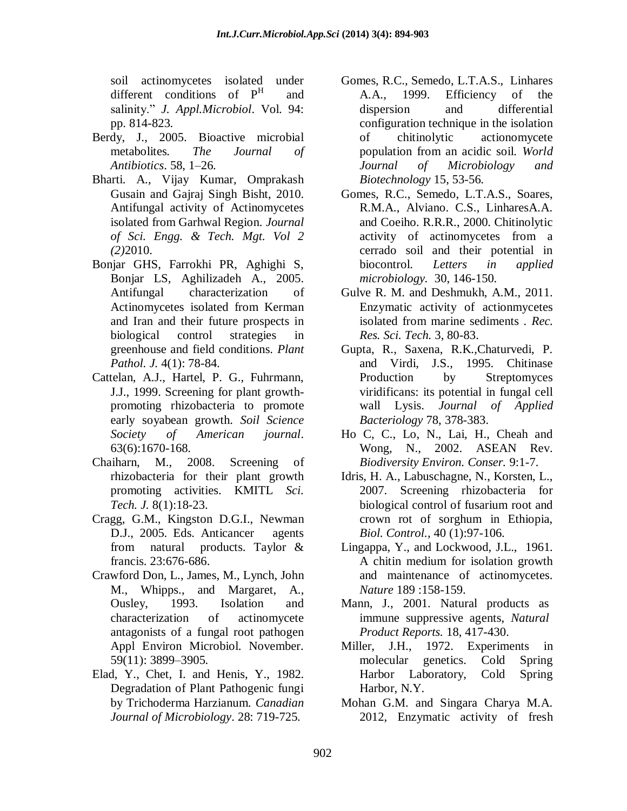soil actinomycetes isolated under different conditions of  $P<sup>H</sup>$  and salinity." *J. Appl.Microbiol*. Vol. 94: pp. 814-823.

- Berdy, J., 2005. Bioactive microbial metabolites*. The Journal of Antibiotics*. 58, 1–26.
- Bharti. A., Vijay Kumar, Omprakash Gusain and Gajraj Singh Bisht, 2010. Antifungal activity of Actinomycetes isolated from Garhwal Region. *Journal of Sci. Engg. & Tech. Mgt. Vol 2 (2)*2010.
- Bonjar GHS, Farrokhi PR, Aghighi S, Bonjar LS, Aghilizadeh A., 2005. Antifungal characterization of Actinomycetes isolated from Kerman and Iran and their future prospects in biological control strategies in greenhouse and field conditions. *Plant Pathol. J.* 4(1): 78-84.
- Cattelan, A.J., Hartel, P. G., Fuhrmann, J.J., 1999. Screening for plant growthpromoting rhizobacteria to promote early soyabean growth. *Soil Science Society of American journal*. 63(6):1670-168.
- Chaiharn, M., 2008. Screening of rhizobacteria for their plant growth promoting activities. KMITL *Sci. Tech. J.* 8(1):18-23.
- Cragg, G.M., Kingston D.G.I., Newman D.J., 2005. Eds. Anticancer agents from natural products. Taylor & francis. 23:676-686.
- [Crawford](http://www.ncbi.nlm.nih.gov/pubmed/?term=Crawford%20DL%5Bauth%5D) Don, L., [James, M., Lynch,](http://www.ncbi.nlm.nih.gov/pubmed/?term=Lynch%20JM%5Bauth%5D) [John](http://www.ncbi.nlm.nih.gov/pubmed/?term=Whipps%20JM%5Bauth%5D)  [M., Whipps.](http://www.ncbi.nlm.nih.gov/pubmed/?term=Whipps%20JM%5Bauth%5D), and [Margaret, A.,](http://www.ncbi.nlm.nih.gov/pubmed/?term=Ousley%20MA%5Bauth%5D)  [Ousley,](http://www.ncbi.nlm.nih.gov/pubmed/?term=Ousley%20MA%5Bauth%5D) 1993. Isolation and characterization of actinomycete antagonists of a fungal root pathogen Appl Environ Microbiol. November. 59(11): 3899–3905.
- Elad, Y., Chet, I. and Henis, Y., 1982. Degradation of Plant Pathogenic fungi by Trichoderma Harzianum. *Canadian Journal of Microbiology*. 28: 719-725.
- Gomes, R.C., Semedo, L.T.A.S., Linhares A.A., 1999. Efficiency of the dispersion and differential configuration technique in the isolation of chitinolytic actionomycete population from an acidic soil. *World Journal of Microbiology and Biotechnology* 15, 53-56.
- Gomes, R.C., Semedo, L.T.A.S., Soares, R.M.A., Alviano. C.S., LinharesA.A. and Coeiho. R.R.R., 2000. Chitinolytic activity of actinomycetes from a cerrado soil and their potential in biocontrol. *Letters in applied microbiology.* 30, 146-150.
- Gulve R. M. and Deshmukh, A.M., 2011. Enzymatic activity of actionmycetes isolated from marine sediments . *Rec. Res. Sci. Tech.* 3, 80-83.
- Gupta, R., Saxena, R.K.,Chaturvedi, P. and Virdi, J.S., 1995. Chitinase Production by Streptomyces viridificans: its potential in fungal cell wall Lysis. *Journal of Applied Bacteriology* 78, 378-383.
- Ho C, C., Lo, N., Lai, H., Cheah and Wong, N., 2002. ASEAN Rev. *Biodiversity Environ. Conser.* 9:1-7.
- Idris, H. A., Labuschagne, N., Korsten, L., 2007. Screening rhizobacteria for biological control of fusarium root and crown rot of sorghum in Ethiopia, *Biol. Control.,* 40 (1):97-106.
- Lingappa, Y., and Lockwood, J.L., 1961. A chitin medium for isolation growth and maintenance of actinomycetes. *Nature* 189 :158-159.
- Mann, J., 2001. Natural products as immune suppressive agents, *Natural Product Reports.* 18, 417-430.
- Miller, J.H., 1972. Experiments in molecular genetics. Cold Spring Harbor Laboratory, Cold Spring Harbor, N.Y.
- Mohan G.M. and Singara Charya M.A. 2012, Enzymatic activity of fresh